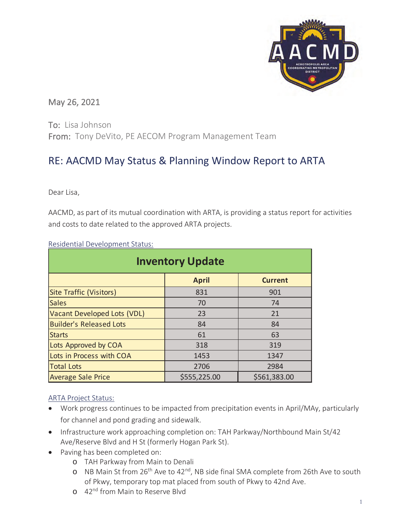

# May 26, 2021

To: Lisa Johnson From: Tony DeVito, PE AECOM Program Management Team

# RE: AACMD May Status & Planning Window Report to ARTA

Dear Lisa,

AACMD, as part of its mutual coordination with ARTA, is providing a status report for activities and costs to date related to the approved ARTA projects.

| <b>Inventory Update</b>        |              |                |  |  |  |  |  |  |  |  |
|--------------------------------|--------------|----------------|--|--|--|--|--|--|--|--|
|                                | <b>April</b> | <b>Current</b> |  |  |  |  |  |  |  |  |
| <b>Site Traffic (Visitors)</b> | 831          | 901            |  |  |  |  |  |  |  |  |
| <b>Sales</b>                   | 70           | 74             |  |  |  |  |  |  |  |  |
| Vacant Developed Lots (VDL)    | 23           | 21             |  |  |  |  |  |  |  |  |
| <b>Builder's Released Lots</b> | 84           | 84             |  |  |  |  |  |  |  |  |
| <b>Starts</b>                  | 61           | 63             |  |  |  |  |  |  |  |  |
| Lots Approved by COA           | 318          | 319            |  |  |  |  |  |  |  |  |
| Lots in Process with COA       | 1453         | 1347           |  |  |  |  |  |  |  |  |
| <b>Total Lots</b>              | 2706         | 2984           |  |  |  |  |  |  |  |  |
| <b>Average Sale Price</b>      | \$555,225.00 | \$561,383.00   |  |  |  |  |  |  |  |  |

Residential Development Status:

## ARTA Project Status:

- Work progress continues to be impacted from precipitation events in April/MAy, particularly for channel and pond grading and sidewalk.
- Infrastructure work approaching completion on: TAH Parkway/Northbound Main St/42 Ave/Reserve Blvd and H St (formerly Hogan Park St).
- Paving has been completed on:
	- o TAH Parkway from Main to Denali
	- o NB Main St from 26th Ave to 42nd, NB side final SMA complete from 26th Ave to south of Pkwy, temporary top mat placed from south of Pkwy to 42nd Ave.
	- o 42<sup>nd</sup> from Main to Reserve Blyd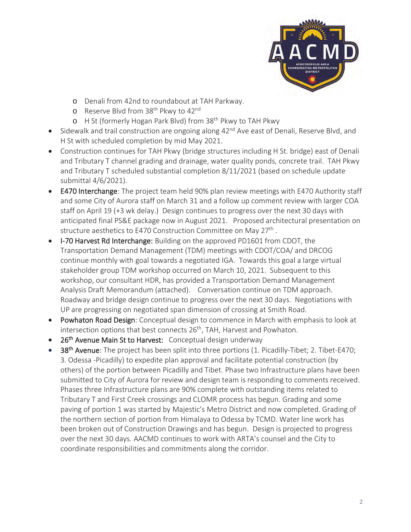

- o Denali from 42nd to roundabout at TAH Parkway.
- o Reserve Blvd from 38<sup>th</sup> Pkwy to 42<sup>nd</sup>
- o H St (formerly Hogan Park Blvd) from 38<sup>th</sup> Pkwy to TAH Pkwy
- Sidewalk and trail construction are ongoing along  $42<sup>nd</sup>$  Ave east of Denali, Reserve Blvd, and H St with scheduled completion by mid May 2021.
- Construction continues for TAH Pkwy (bridge structures including H St. bridge) east of Denali and Tributary T channel grading and drainage, water quality ponds, concrete trail. TAH Pkwy and Tributary T scheduled substantial completion 8/11/2021 (based on schedule update submittal 4/6/2021).
- **E470 Interchange:** The project team held 90% plan review meetings with E470 Authority staff and some City of Aurora staff on March 31 and a follow up comment review with larger COA staff on April 19 (+3 wk delay.) Design continues to progress over the next 30 days with anticipated final PS&E package now in August 2021. Proposed architectural presentation on structure aesthetics to E470 Construction Committee on May  $27<sup>th</sup>$ .
- **I-70 Harvest Rd Interchange:** Building on the approved PD1601 from CDOT, the Transportation Demand Management (TDM) meetings with CDOT/COA/ and DRCOG continue monthly with goal towards a negotiated IGA. Towards this goal a large virtual stakeholder group TDM workshop occurred on March 10, 2021. Subsequent to this workshop, our consultant HDR, has provided a Transportation Demand Management Analysis Draft Memorandum (attached). Conversation continue on TDM approach. Roadway and bridge design continue to progress over the next 30 days. Negotiations with UP are progressing on negotiated span dimension of crossing at Smith Road.
- Powhaton Road Design: Conceptual design to commence in March with emphasis to look at intersection options that best connects 26<sup>th</sup>, TAH, Harvest and Powhaton.
- 26<sup>th</sup> Avenue Main St to Harvest: Conceptual design underway
- 38<sup>th</sup> Avenue: The project has been split into three portions (1. Picadilly-Tibet; 2. Tibet-E470; 3. Odessa -Picadilly) to expedite plan approval and facilitate potential construction (by others) of the portion between Picadilly and Tibet. Phase two Infrastructure plans have been submitted to City of Aurora for review and design team is responding to comments received. Phases three Infrastructure plans are 90% complete with outstanding items related to Tributary T and First Creek crossings and CLOMR process has begun. Grading and some paving of portion 1 was started by Majestic's Metro District and now completed. Grading of the northern section of portion from Himalaya to Odessa by TCMD. Water line work has been broken out of Construction Drawings and has begun. Design is projected to progress over the next 30 days. AACMD continues to work with ARTA's counsel and the City to coordinate responsibilities and commitments along the corridor.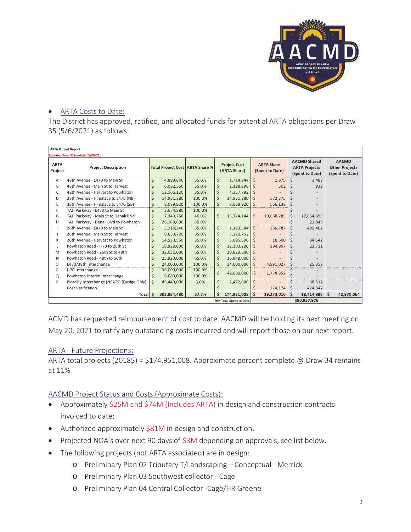

#### • ARTA Costs to Date:

The District has approved, ratified, and allocated funds for potential ARTA obligations per Draw 35 (5/6/2021) as follows:

| <b>ARTA Budget Report</b><br>Update: Draw 35 (update 05/06/21) |                                             |    |             |                                   |                    |                                     |    |                                      |                                                                |                 |                                                          |            |
|----------------------------------------------------------------|---------------------------------------------|----|-------------|-----------------------------------|--------------------|-------------------------------------|----|--------------------------------------|----------------------------------------------------------------|-----------------|----------------------------------------------------------|------------|
| <b>ARTA</b><br>Project                                         | <b>Project Description</b>                  |    |             | Total Project Cost   ARTA Share % |                    | <b>Project Cost</b><br>(ARTA Share) |    | <b>ARTA Share</b><br>(Spent to Date) | <b>AACMD Shared</b><br><b>ARTA Projects</b><br>(Spent to Date) |                 | <b>AACMD</b><br><b>Other Projects</b><br>(Spent to Date) |            |
| A                                                              | 48th Avenue - E470 to Main St               | \$ | 4,899,840   | 35.0%                             | $\zeta$            | 1,714,944                           | Ś. | 1,875                                | Ś                                                              | 3,483           |                                                          |            |
| B                                                              | 48th Avenue - Main St to Harvest            |    | 6,082,560   | 35.0%                             | \$                 | 2,128,896                           | Ś  | 502                                  |                                                                | 932             |                                                          |            |
| C                                                              | 48th Avenue - Harvest to Powhaton           |    | 12,165,120  | 35.0%                             | \$                 | 4,257,792                           | Ś  |                                      |                                                                |                 |                                                          |            |
| D                                                              | 38th Avenue - Himalaya to E470 (NB)         | Ś  | 14,931,280  | 100.0%                            | \$                 | 14,931,280                          | Ś  | 572,375                              |                                                                |                 |                                                          |            |
| E                                                              | 38th Avenue - Himalaya to E470 (SB)         | \$ | 8,039,920   | 100.0%                            | \$                 | 8,039,920                           | \$ | 556,133                              |                                                                |                 |                                                          |            |
| F                                                              | TAH Parkway - E470 to Main St               | Ś  | 3,674,880   | 100.0%                            |                    |                                     |    |                                      |                                                                |                 |                                                          |            |
| G                                                              | TAH Parkway - Main St to Denali Blvd        | Ś  | 7,349,760   | 40.0%                             | \$                 | 15,774,144                          | Ś. | 10,668,285                           | \$                                                             | 17,654,699      |                                                          |            |
| H                                                              | TAH Parkway - Denali Blvd to Powhaton       | \$ | 26,169,600  | 35.0%                             |                    |                                     |    |                                      |                                                                | 21,849          |                                                          |            |
|                                                                | 26th Avenue - E470 to Main St               | Ś  | 3,210,240   | 35.0%                             | \$                 | 1,123,584                           | \$ | 266,787                              |                                                                | 495,462         |                                                          |            |
| $\mathbf{J}$                                                   | 26th Avenue - Main St to Harvest            |    | 9,630,720   | 35.0%                             | \$                 | 3,370,752                           | Ś  |                                      |                                                                |                 |                                                          |            |
| К                                                              | 26th Avenue - Harvest to Powhaton           |    | 14,530,560  | 35.0%                             | \$                 | 5,085,696                           | Ś  | 18.600                               | \$                                                             | 34,542          |                                                          |            |
| L                                                              | Powhaton Road - I-70 to 26th St             |    | 18,928,000  | 65.0%                             | \$                 | 12,303,200                          | Ś. | 294,907                              | Ś                                                              | 23,711          |                                                          |            |
| M                                                              | Powhaton Road - 26th St to 48th             |    | 32,032,000  | 65.0%                             | \$                 | 20,820,800                          | Ś  |                                      |                                                                |                 |                                                          |            |
| N                                                              | Powhaton Road - 48th to 56th                |    | 25,920,000  | 65.0%                             | \$                 | 16,848,000                          | \$ |                                      |                                                                |                 |                                                          |            |
| O                                                              | E470/38th Interchange                       | \$ | 24,000,000  | 100.0%                            | \$                 | 24,000,000                          | Ś. | 4,991,027                            | \$                                                             | 25,359          |                                                          |            |
| P                                                              | I-70 Interchange                            |    | 36,000,000  | 100.0%                            |                    |                                     |    |                                      |                                                                |                 |                                                          |            |
| Q                                                              | Powhaton Interim Interchange                | Ś. | 6,080,000   | 100.0%                            | \$                 | 42,080,000                          | \$ | 1,778,352                            | Ś                                                              |                 |                                                          |            |
| R                                                              | Picadilly Interchange (NEATS) (Design Only) | Ś. | 49,440,000  | 5.0%                              | $\zeta$            | 2,472,000                           | \$ |                                      | Ś                                                              | 30,512          |                                                          |            |
|                                                                | <b>Cost Verification</b>                    |    |             |                                   | \$                 |                                     |    | 124,174                              | \$                                                             | 424,347         |                                                          |            |
|                                                                | Total \$                                    |    | 303,084,480 | 57.7%                             | $\dot{\mathsf{s}}$ | 174,951,008                         | Ś. | 19,273,016                           | \$                                                             | $18,714,896$ \$ |                                                          | 42,970,064 |
| <b>TAH Total Spent to Date:</b>                                |                                             |    |             |                                   |                    |                                     |    |                                      |                                                                | \$80,957,976    |                                                          |            |

ACMD has requested reimbursement of cost to date. AACMD will be holding its next meeting on May 20, 2021 to ratify any outstanding costs incurred and will report those on our next report.

#### ARTA - Future Projections:

ARTA total projects (2018\$) = \$174,951,008. Approximate percent complete @ Draw 34 remains at 11%

## AACMD Project Status and Costs (Approximate Costs):

- Approximately \$25M and \$74M (Includes ARTA) in design and construction contracts invoiced to date;
- $\bullet$  Authorized approximately \$81M in design and construction.
- Projected NOA's over next 90 days of \$3M depending on approvals, see list below.
- The following projects (not ARTA associated) are in design:
	- o Preliminary Plan 02 Tributary T/Landscaping Conceptual Merrick
	- o Preliminary Plan 03 Southwest collector Cage
	- o Preliminary Plan 04 Central Collector -Cage/HR Greene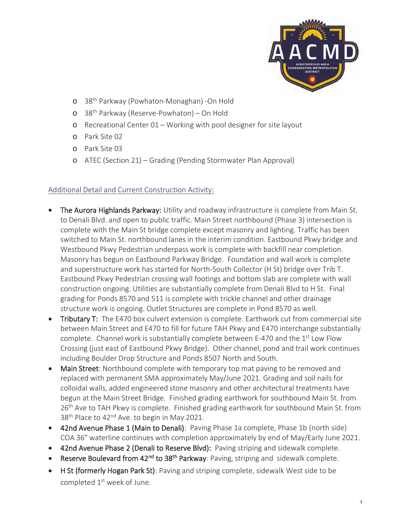

- o 38th Parkway (Powhaton-Monaghan) -On Hold
- o 38th Parkway (Reserve-Powhaton) On Hold
- o Recreational Center 01 Working with pool designer for site layout
- o Park Site 02
- o Park Site 03
- o ATEC (Section 21) Grading (Pending Stormwater Plan Approval)

#### Additional Detail and Current Construction Activity:

- The Aurora Highlands Parkway: Utility and roadway infrastructure is complete from Main St. to Denali Blvd. and open to public traffic. Main Street northbound (Phase 3) intersection is complete with the Main St bridge complete except masonry and lighting. Traffic has been switched to Main St. northbound lanes in the interim condition. Eastbound Pkwy bridge and Westbound Pkwy Pedestrian underpass work is complete with backfill near completion. Masonry has begun on Eastbound Parkway Bridge. Foundation and wall work is complete and superstructure work has started for North-South Collector (H St) bridge over Trib T. Eastbound Pkwy Pedestrian crossing wall footings and bottom slab are complete with wall construction ongoing. Utilities are substantially complete from Denali Blvd to H St. Final grading for Ponds 8570 and 511 is complete with trickle channel and other drainage structure work is ongoing. Outlet Structures are complete in Pond 8570 as well.
- **Tributary T:** The E470 box culvert extension is complete. Earthwork cut from commercial site between Main Street and E470 to fill for future TAH Pkwy and E470 interchange substantially complete. Channel work is substantially complete between E-470 and the  $1<sup>st</sup>$  Low Flow Crossing (just east of Eastbound Pkwy Bridge). Other channel, pond and trail work continues including Boulder Drop Structure and Ponds 8507 North and South.
- Main Street: Northbound complete with temporary top mat paving to be removed and replaced with permanent SMA approximately May/June 2021. Grading and soil nails for colloidal walls, added engineered stone masonry and other architectural treatments have begun at the Main Street Bridge. Finished grading earthwork for southbound Main St. from 26<sup>th</sup> Ave to TAH Pkwy is complete. Finished grading earthwork for southbound Main St. from 38<sup>th</sup> Place to 42<sup>nd</sup> Ave. to begin in May 2021.
- 42nd Avenue Phase 1 (Main to Denali): Paving Phase 1a complete, Phase 1b (north side) COA 36" waterline continues with completion approximately by end of May/Early June 2021.
- 42nd Avenue Phase 2 (Denali to Reserve Blvd): Paving striping and sidewalk complete.
- Reserve Boulevard from 42<sup>nd</sup> to 38<sup>th</sup> Parkway: Paving, striping and sidewalk complete.
- H St (formerly Hogan Park St): Paving and striping complete, sidewalk West side to be completed 1<sup>st</sup> week of June.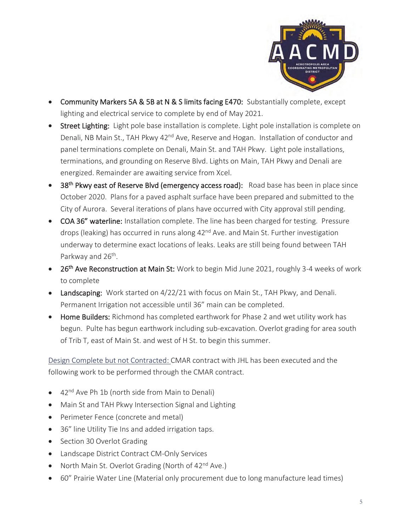

- Community Markers 5A & 5B at N & S limits facing E470: Substantially complete, except lighting and electrical service to complete by end of May 2021.
- Street Lighting: Light pole base installation is complete. Light pole installation is complete on Denali, NB Main St., TAH Pkwy 42<sup>nd</sup> Ave, Reserve and Hogan. Installation of conductor and panel terminations complete on Denali, Main St. and TAH Pkwy. Light pole installations, terminations, and grounding on Reserve Blvd. Lights on Main, TAH Pkwy and Denali are energized. Remainder are awaiting service from Xcel.
- 38<sup>th</sup> Pkwy east of Reserve Blvd (emergency access road): Road base has been in place since October 2020. Plans for a paved asphalt surface have been prepared and submitted to the City of Aurora. Several iterations of plans have occurred with City approval still pending.
- COA 36" waterline: Installation complete. The line has been charged for testing. Pressure drops (leaking) has occurred in runs along 42<sup>nd</sup> Ave. and Main St. Further investigation underway to determine exact locations of leaks. Leaks are still being found between TAH Parkway and 26<sup>th</sup>.
- 26<sup>th</sup> Ave Reconstruction at Main St: Work to begin Mid June 2021, roughly 3-4 weeks of work to complete
- **Landscaping:** Work started on  $4/22/21$  with focus on Main St., TAH Pkwy, and Denali. Permanent Irrigation not accessible until 36" main can be completed.
- Home Builders: Richmond has completed earthwork for Phase 2 and wet utility work has begun. Pulte has begun earthwork including sub-excavation. Overlot grading for area south of Trib T, east of Main St. and west of H St. to begin this summer.

Design Complete but not Contracted: CMAR contract with JHL has been executed and the following work to be performed through the CMAR contract.

- 42<sup>nd</sup> Ave Ph 1b (north side from Main to Denali)
- Main St and TAH Pkwy Intersection Signal and Lighting
- Perimeter Fence (concrete and metal)
- 36" line Utility Tie Ins and added irrigation taps.
- Section 30 Overlot Grading
- Landscape District Contract CM-Only Services
- North Main St. Overlot Grading (North of  $42<sup>nd</sup>$  Ave.)
- 60" Prairie Water Line (Material only procurement due to long manufacture lead times)